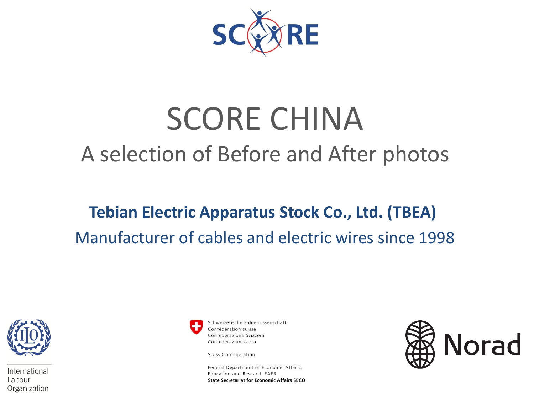

# SCORE CHINA A selection of Before and After photos

# **Tebian Electric Apparatus Stock Co., Ltd. (TBEA)** Manufacturer of cables and electric wires since 1998



International Labour Organization



Schweizerische Eidgenossenschaft Confédération suisse Confederazione Svizzera Confederaziun svizra

Swiss Confederation

Federal Department of Economic Affairs, Education and Research EAER **State Secretariat for Economic Affairs SECO** 

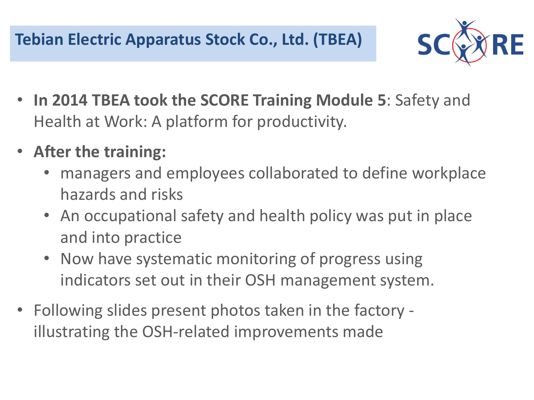**Tebian Electric Apparatus Stock Co., Ltd. (TBEA)**



- **In 2014 TBEA took the SCORE Training Module 5**: Safety and Health at Work: A platform for productivity.
- **After the training:**
	- managers and employees collaborated to define workplace hazards and risks
	- An occupational safety and health policy was put in place and into practice
	- Now have systematic monitoring of progress using indicators set out in their OSH management system.
- Following slides present photos taken in the factory illustrating the OSH-related improvements made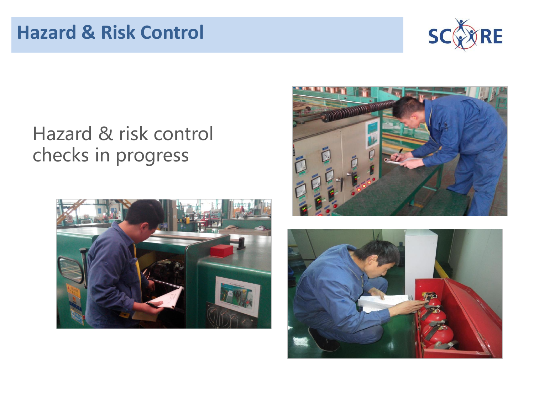

# Hazard & risk control checks in progress





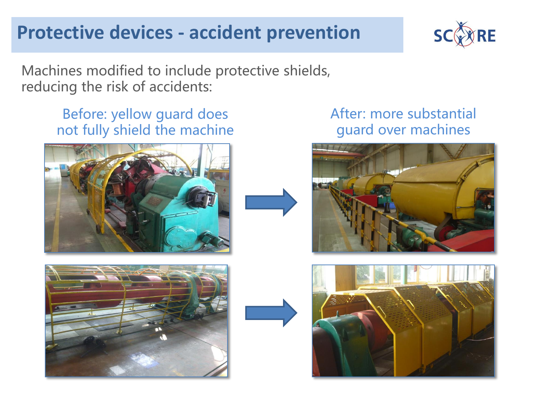## **Protective devices - accident prevention**



Machines modified to include protective shields, reducing the risk of accidents:

#### Before: yellow guard does not fully shield the machine



#### After: more substantial guard over machines





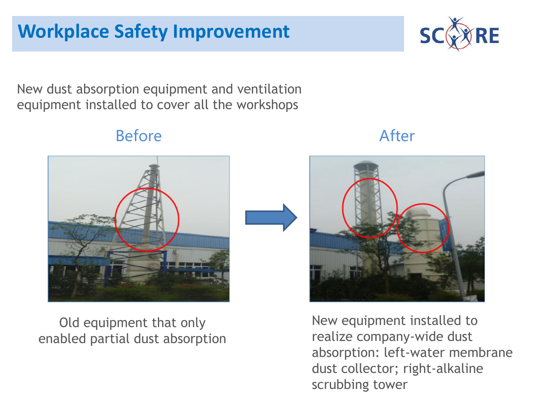New dust absorption equipment and ventilation equipment installed to cover all the workshops

Before After





New equipment installed to realize company-wide dust absorption: left-water membrane dust collector; right-alkaline scrubbing tower

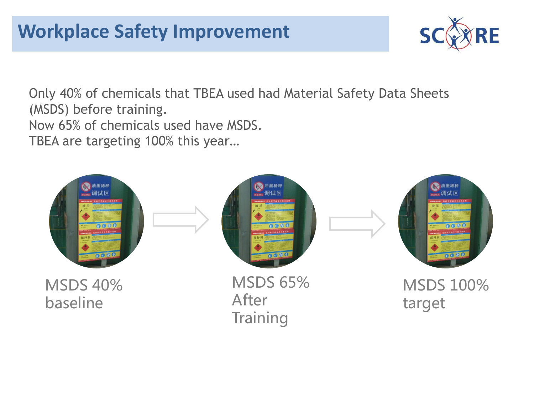

Only 40% of chemicals that TBEA used had Material Safety Data Sheets (MSDS) before training.

Now 65% of chemicals used have MSDS.

TBEA are targeting 100% this year…

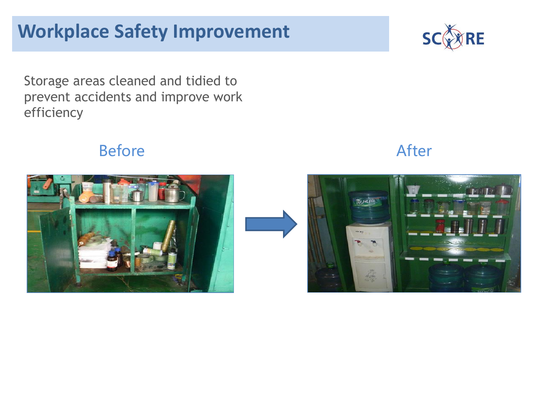# **Workplace Safety Improvement**



Storage areas cleaned and tidied to prevent accidents and improve work efficiency

### Before After



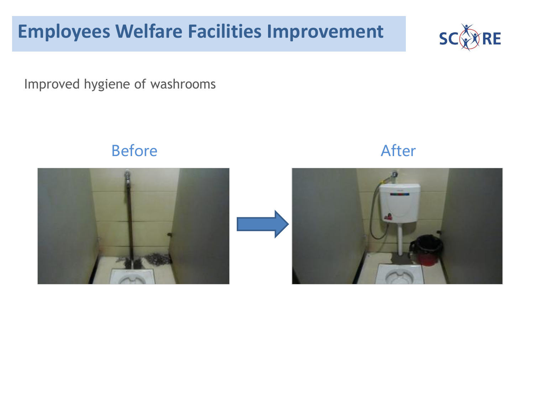# **Employees Welfare Facilities Improvement**



Improved hygiene of washrooms





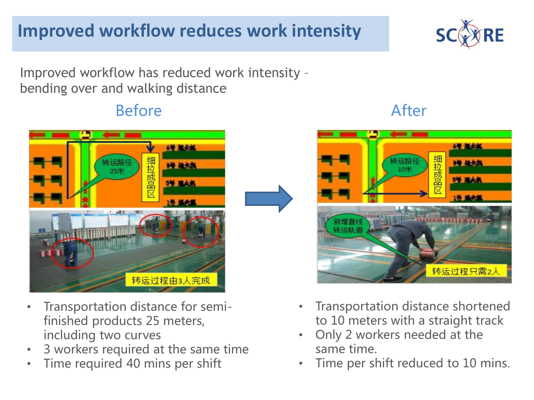# **Improved workflow reduces work intensity**

Improved workflow has reduced work intensity – bending over and walking distance

### Before **After**



- Transportation distance for semifinished products 25 meters, including two curves
- 3 workers required at the same time
- Time required 40 mins per shift

# **4号 规定版** 细拉成品 ■● 撮大机  $10<sup>4</sup>$ **24 BAC** 转运过程只需2人

- Transportation distance shortened to 10 meters with a straight track
- Only 2 workers needed at the same time.
- Time per shift reduced to 10 mins.



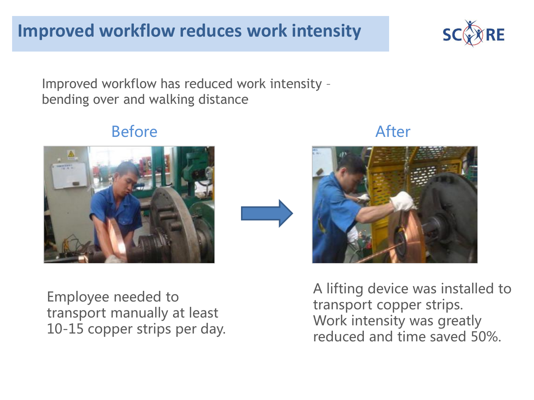Improved workflow has reduced work intensity – bending over and walking distance

Before After

Employee needed to transport manually at least 10-15 copper strips per day. A lifting device was installed to transport copper strips. Work intensity was greatly reduced and time saved 50%.